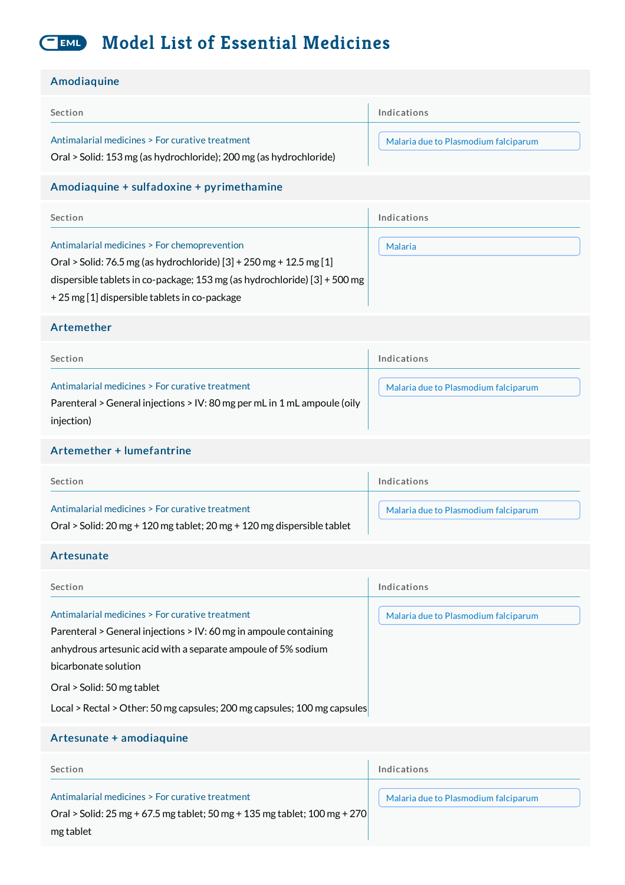#### **Model List of Essential Medicines** EML

#### **Amodiaquine**

| , ,,,,ou,uqu,,,,                                                                                                                                                                                                                                                                                                        |                                      |
|-------------------------------------------------------------------------------------------------------------------------------------------------------------------------------------------------------------------------------------------------------------------------------------------------------------------------|--------------------------------------|
| Section                                                                                                                                                                                                                                                                                                                 | Indications                          |
| Antimalarial medicines > For curative treatment<br>Oral > Solid: 153 mg (as hydrochloride); 200 mg (as hydrochloride)                                                                                                                                                                                                   | Malaria due to Plasmodium falciparum |
| Amodiaquine + sulfadoxine + pyrimethamine                                                                                                                                                                                                                                                                               |                                      |
| Section                                                                                                                                                                                                                                                                                                                 | Indications                          |
| Antimalarial medicines > For chemoprevention<br>Oral > Solid: 76.5 mg (as hydrochloride) [3] + 250 mg + 12.5 mg [1]<br>dispersible tablets in co-package; 153 mg (as hydrochloride) $[3] + 500$ mg<br>+ 25 mg [1] dispersible tablets in co-package                                                                     | <b>Malaria</b>                       |
| Artemether                                                                                                                                                                                                                                                                                                              |                                      |
| Section                                                                                                                                                                                                                                                                                                                 | Indications                          |
| Antimalarial medicines > For curative treatment<br>Parenteral > General injections > IV: 80 mg per mL in 1 mL ampoule (oily<br>injection)                                                                                                                                                                               | Malaria due to Plasmodium falciparum |
| Artemether + lumefantrine                                                                                                                                                                                                                                                                                               |                                      |
| Section                                                                                                                                                                                                                                                                                                                 | Indications                          |
| Antimalarial medicines > For curative treatment<br>Oral > Solid: 20 mg + 120 mg tablet; 20 mg + 120 mg dispersible tablet                                                                                                                                                                                               | Malaria due to Plasmodium falciparum |
| Artesunate                                                                                                                                                                                                                                                                                                              |                                      |
| Section                                                                                                                                                                                                                                                                                                                 | Indications                          |
| Antimalarial medicines > For curative treatment<br>Parenteral > General injections > IV: 60 mg in ampoule containing<br>anhydrous artesunic acid with a separate ampoule of 5% sodium<br>bicarbonate solution<br>Oral > Solid: 50 mg tablet<br>Local > Rectal > Other: 50 mg capsules; 200 mg capsules; 100 mg capsules | Malaria due to Plasmodium falciparum |
|                                                                                                                                                                                                                                                                                                                         |                                      |
| Artesunate + amodiaquine                                                                                                                                                                                                                                                                                                |                                      |

# Section Antimalarial medicines > For curative treatment Indications Malaria due to [Plasmodium](http://list.essentialmeds.org/recommendations/793) falciparum Oral > Solid: 25 mg + 67.5 mg tablet; 50 mg + 135 mg tablet; 100 mg + 270 mg tablet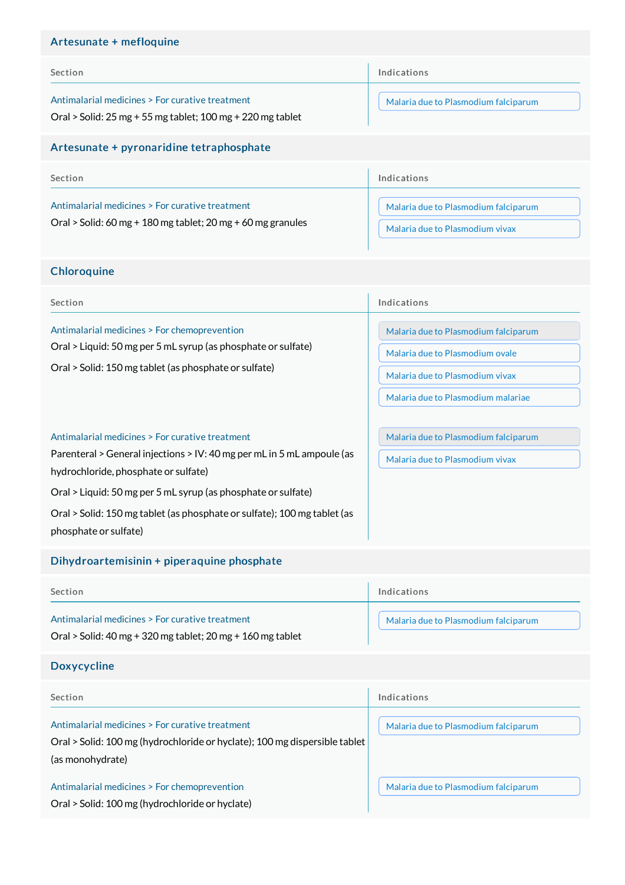# Artesunate + mefloquine

| Section                                                                                                           | Indications                                                             |
|-------------------------------------------------------------------------------------------------------------------|-------------------------------------------------------------------------|
| Antimalarial medicines > For curative treatment<br>Oral > Solid: $25$ mg + 55 mg tablet; $100$ mg + 220 mg tablet | Malaria due to Plasmodium falciparum                                    |
| Artesunate + pyronaridine tetraphosphate                                                                          |                                                                         |
| Section                                                                                                           | Indications                                                             |
| Antimalarial medicines > For curative treatment<br>Oral > Solid: 60 mg + 180 mg tablet; 20 mg + 60 mg granules    | Malaria due to Plasmodium falciparum<br>Malaria due to Plasmodium vivax |

# **Chloroquine**

| Section                                                                                                                                                                | Indications                                                                                                                                      |
|------------------------------------------------------------------------------------------------------------------------------------------------------------------------|--------------------------------------------------------------------------------------------------------------------------------------------------|
| Antimalarial medicines > For chemoprevention<br>Oral > Liquid: 50 mg per 5 mL syrup (as phosphate or sulfate)<br>Oral > Solid: 150 mg tablet (as phosphate or sulfate) | Malaria due to Plasmodium falciparum<br>Malaria due to Plasmodium ovale<br>Malaria due to Plasmodium vivax<br>Malaria due to Plasmodium malariae |
| Antimalarial medicines > For curative treatment                                                                                                                        | Malaria due to Plasmodium falciparum                                                                                                             |

Malaria due to [Plasmodium](http://list.essentialmeds.org/recommendations/797) vivax

Parenteral > General injections > IV: 40 mg per mL in 5 mL ampoule (as hydrochloride, phosphate or sulfate)

Oral > Liquid: 50 mg per 5 mL syrup (as phosphate or sulfate)

Oral > Solid: 150 mg tablet (as phosphate or sulfate); 100 mg tablet (as phosphate or sulfate)

# Dihydroartemisinin + piperaquine phosphate

| Section                                                                                                           | Indications                          |
|-------------------------------------------------------------------------------------------------------------------|--------------------------------------|
| Antimalarial medicines > For curative treatment<br>Oral > Solid: $40$ mg + 320 mg tablet; $20$ mg + 160 mg tablet | Malaria due to Plasmodium falciparum |
|                                                                                                                   |                                      |

# Doxycycline

| <b>Section</b>                                                                                                                                    | Indications                          |
|---------------------------------------------------------------------------------------------------------------------------------------------------|--------------------------------------|
| Antimalarial medicines > For curative treatment<br>Oral > Solid: 100 mg (hydrochloride or hyclate); 100 mg dispersible tablet<br>(as monohydrate) | Malaria due to Plasmodium falciparum |
| Antimalarial medicines > For chemoprevention<br>Oral > Solid: 100 mg (hydrochloride or hyclate)                                                   | Malaria due to Plasmodium falciparum |